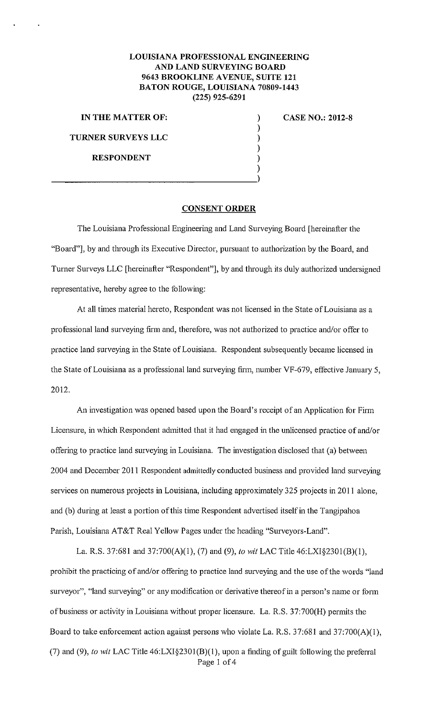## **LOUISIANA PROFESSIONAL ENGINEERING AND LAND SURVEYING BOARD 9643 BROOKLINE A VENUE, SUITE 121 BATON ROUGE, LOUISIANA 70809-1443 (225) 925-6291**

) ) ) ) ) )

**IN THE MATTER OF: TURNER SURVEYS LLC** 

**RESPONDENT** 

 $\frac{1}{2}$ 

**CASE NO.: 2012-8** 

## **CONSENT ORDER**

The Louisiana Professional Engineering and Land Surveying Board [hereinafter the "Board"], by and through its Executive Director, pursuant to authorization by the Board, and Turner Surveys LLC [hereinafter "Respondent"], by and through its duly authorized undersigned representative, hereby agree to the following:

At all times material hereto, Respondent was not licensed in the State of Louisiana as a professional land surveying firm and, therefore, was not authorized to practice and/or offer to practice land surveying in the State of Louisiana. Respondent subsequently became licensed in the State of Louisiana as a professional land surveying firm, number VF-679, effective January 5, 2012.

An investigation was opened based upon the Board's receipt of an Application for Firm Licensure, in which Respondent admitted that it had engaged in the unlicensed practice of and/or offering to practice land surveying in Louisiana. The investigation disclosed that (a) between 2004 and December 2011 Respondent admittedly conducted business and provided land surveying services on numerous projects in Louisiana, including approximately 325 projects in 2011 alone, and (b) during at least a portion of this time Respondent advertised itself in the Tangipahoa Parish, Louisiana AT&T Real Yellow Pages under the heading "Surveyors-Land".

La. R.S. 37:681 and 37:700(A)(1), (7) and (9), *to wit* LAC Title 46:LXI§2301(B)(1), prohibit the practicing of and/or offering to practice land surveying and the use of the words "land surveyor", "land surveying" or any modification or derivative thereof in a person's name or form of business or activity in Louisiana without proper licensure. La. R.S. 37:700(H) permits the Board to take enforcement action against persons who violate La. R.S. 37:681 and 37:700(A)(1), (7) and (9), *to wit* LAC Title 46:LXI§2301(B)(1), upon a finding of guilt following the preferral Page 1 of 4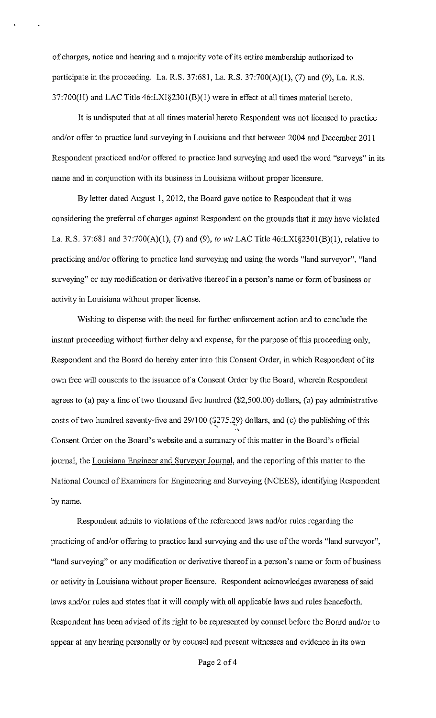of charges, notice and hearing and a majority vote of its entire membership authorized to participate in the proceeding. La. R.S. 37:681, La. R.S. 37:700(A)(1), (7) and (9), La. R.S. 37:700(H) and LAC Title 46:LXI§230l(B)(l) were in effect at all times material hereto.

It is undisputed that at all times material hereto Respondent was not licensed to practice and/or offer to practice land surveying in Louisiana and that between 2004 and December 2011 Respondent practiced and/or offered to practice land surveying and used the word "surveys" in its name and in conjunction with its business in Louisiana without proper licensure.

By letter dated August I, 2012, the Board gave notice to Respondent that it was considering the preferral of charges against Respondent on the grounds that it may have violated La. R.S. 37:681 and 37:700(A)(l), (7) and (9), *to* wit LAC Title 46:LXI§230l(B)(l), relative to practicing and/or offering to practice land surveying and using the words "land surveyor", "land surveying" or any modification or derivative thereof in a person's name or form of business or activity in Louisiana without proper license.

Wishing to dispense with the need for further enforcement action and to conclude the instant proceeding without further delay and expense, for the purpose of this proceeding only, Respondent and the Board do hereby enter into this Consent Order, in which Respondent of its own free will consents to the issuance of a Consent Order by the Board, wherein Respondent agrees to (a) pay a fine of two thousand five hundred  $(\$2,500.00)$  dollars, (b) pay administrative costs of two hundred seventy-five and 29/100 ( $\frac{275.29}{2}$ ) dollars, and (c) the publishing of this Consent Order on the Board's website and a summary of this matter in the Board's official journal, the Louisiana Engineer and Surveyor Journal, and the reporting of this matter to the National Council of Examiners for Engineering and Surveying (NCEES), identifying Respondent by name.

Respondent admits to violations of the referenced laws and/or rules regarding the practicing of and/or offering to practice land surveying and the use of the words "land surveyor", "land surveying" or any modification or derivative thereof in a person's name or form of business or activity in Louisiana without proper licensure. Respondent acknowledges awareness of said laws and/or rules and states that it will comply with all applicable laws and rules henceforth. Respondent has been advised of its right to be represented by counsel before the Board and/or to appear at any hearing personally or by counsel and present witnesses and evidence in its own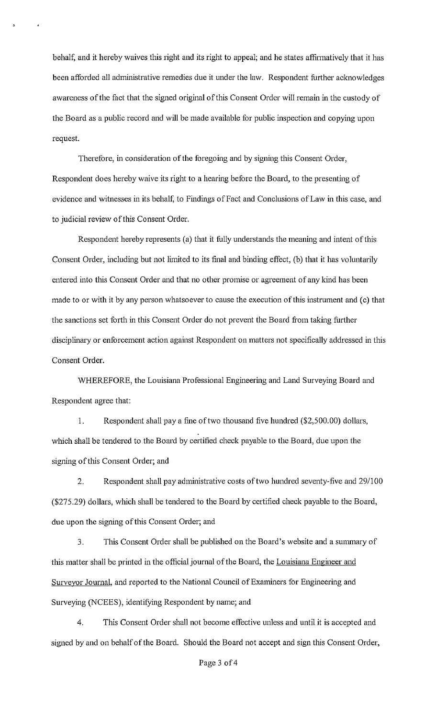behalf, and it hereby waives this right and its right to appeal; and he states affirmatively that it has been afforded all administrative remedies due it under the law. Respondent further acknowledges awareness of the fact that the signed original of this Consent Order will remain in the custody of the Board as a public record and will be made available for public inspection and copying upon request.

Therefore, in consideration of the foregoing and by signing this Consent Order, Respondent does hereby waive its right to a hearing before the Board, to the presenting of evidence and witnesses in its behalf, to Findings of Fact and Conclusions of Law in this case, and to judicial review of this Consent Order.

Respondent hereby represents (a) that it fully understands the meaning and intent of this Consent Order, including but not limited to its final and binding effect, (b) that it has voluntarily entered into this Consent Order and that no other promise or agreement of any kind has been made to or with it by any person whatsoever to cause the execution of this instrument and (c) that the sanctions set forth in this Consent Order do not prevent the Board from taking further disciplinary or enforcement action against Respondent on matters not specifically addressed in this Consent Order.

WHEREFORE, the Louisiana Professional Engineering and Land Surveying Board and Respondent agree that:

1. Respondent shall pay a fine of two thousand five hundred (\$2,500.00) dollars, which shall be tendered to the Board by certified check payable to the Board, due upon the signing of this Consent Order; and

2. Respondent shall pay administrative costs of two hundred seventy-five and 29/100 (\$275.29) dollars, which shall be tendered to the Board by certified check payable to the Board, due upon the signing of this Consent Order; and

3. This Consent Order shall be published on the Board's website and a sunnnary of this matter shall be printed in the official journal of the Board, the Louisiana Engineer and Surveyor Journal, and reported to the National Council of Examiners for Engineering and Surveying (NCEES), identifying Respondent by name; and

4. This Consent Order shall not become effective unless and until it is accepted and signed by and on behalf of the Board. Should the Board not accept and sign this Consent Order,